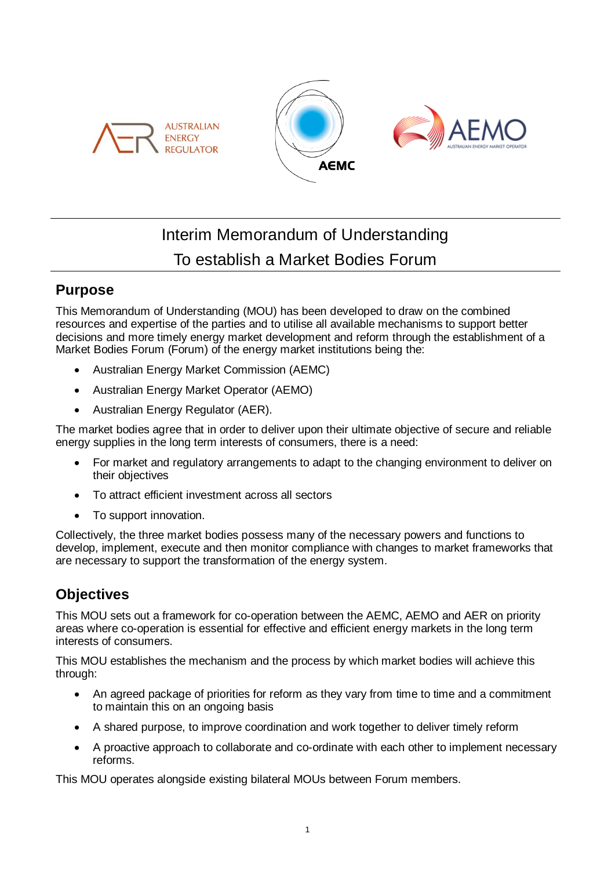





# Interim Memorandum of Understanding To establish a Market Bodies Forum

### **Purpose**

This Memorandum of Understanding (MOU) has been developed to draw on the combined resources and expertise of the parties and to utilise all available mechanisms to support better decisions and more timely energy market development and reform through the establishment of a Market Bodies Forum (Forum) of the energy market institutions being the:

- Australian Energy Market Commission (AEMC)
- Australian Energy Market Operator (AEMO)
- Australian Energy Regulator (AER).

The market bodies agree that in order to deliver upon their ultimate objective of secure and reliable energy supplies in the long term interests of consumers, there is a need:

- For market and regulatory arrangements to adapt to the changing environment to deliver on their objectives
- To attract efficient investment across all sectors
- To support innovation.

Collectively, the three market bodies possess many of the necessary powers and functions to develop, implement, execute and then monitor compliance with changes to market frameworks that are necessary to support the transformation of the energy system.

## **Objectives**

This MOU sets out a framework for co-operation between the AEMC, AEMO and AER on priority areas where co-operation is essential for effective and efficient energy markets in the long term interests of consumers.

This MOU establishes the mechanism and the process by which market bodies will achieve this through:

- An agreed package of priorities for reform as they vary from time to time and a commitment to maintain this on an ongoing basis
- A shared purpose, to improve coordination and work together to deliver timely reform
- A proactive approach to collaborate and co-ordinate with each other to implement necessary reforms.

This MOU operates alongside existing bilateral MOUs between Forum members.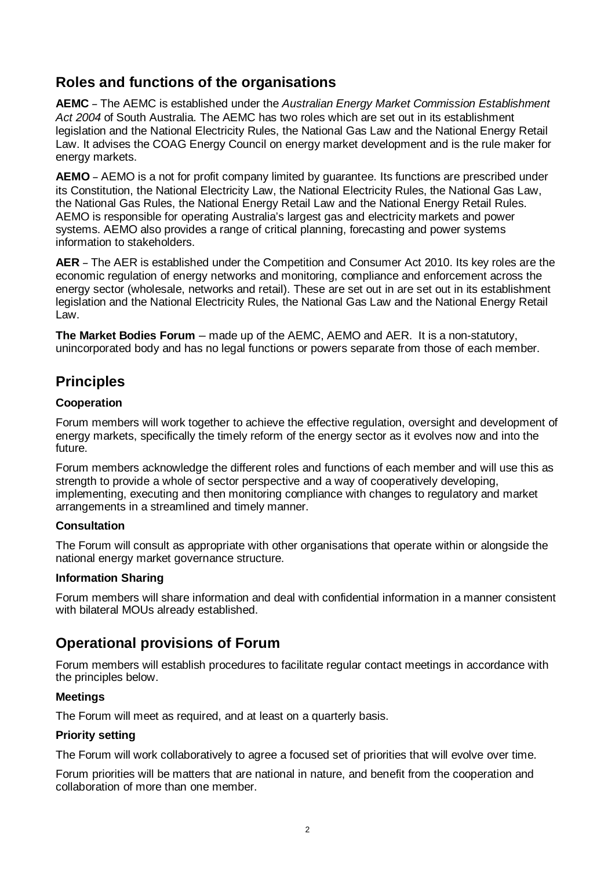### **Roles and functions of the organisations**

**AEMC** – The AEMC is established under the *Australian Energy Market Commission Establishment Act 2004* of South Australia. The AEMC has two roles which are set out in its establishment legislation and the National Electricity Rules, the National Gas Law and the National Energy Retail Law. It advises the COAG Energy Council on energy market development and is the rule maker for energy markets.

**AEMO** – AEMO is a not for profit company limited by guarantee. Its functions are prescribed under its Constitution, the National Electricity Law, the National Electricity Rules, the National Gas Law, the National Gas Rules, the National Energy Retail Law and the National Energy Retail Rules. AEMO is responsible for operating Australia's largest gas and electricity markets and power systems. AEMO also provides a range of critical planning, forecasting and power systems information to stakeholders.

**AER** – The AER is established under the Competition and Consumer Act 2010. Its key roles are the economic regulation of energy networks and monitoring, compliance and enforcement across the energy sector (wholesale, networks and retail). These are set out in are set out in its establishment legislation and the National Electricity Rules, the National Gas Law and the National Energy Retail Law.

**The Market Bodies Forum** – made up of the AEMC, AEMO and AER. It is a non-statutory, unincorporated body and has no legal functions or powers separate from those of each member.

### **Principles**

### **Cooperation**

Forum members will work together to achieve the effective regulation, oversight and development of energy markets, specifically the timely reform of the energy sector as it evolves now and into the future.

Forum members acknowledge the different roles and functions of each member and will use this as strength to provide a whole of sector perspective and a way of cooperatively developing, implementing, executing and then monitoring compliance with changes to regulatory and market arrangements in a streamlined and timely manner.

### **Consultation**

The Forum will consult as appropriate with other organisations that operate within or alongside the national energy market governance structure.

### **Information Sharing**

Forum members will share information and deal with confidential information in a manner consistent with bilateral MOUs already established.

### **Operational provisions of Forum**

Forum members will establish procedures to facilitate regular contact meetings in accordance with the principles below.

### **Meetings**

The Forum will meet as required, and at least on a quarterly basis.

### **Priority setting**

The Forum will work collaboratively to agree a focused set of priorities that will evolve over time.

Forum priorities will be matters that are national in nature, and benefit from the cooperation and collaboration of more than one member.